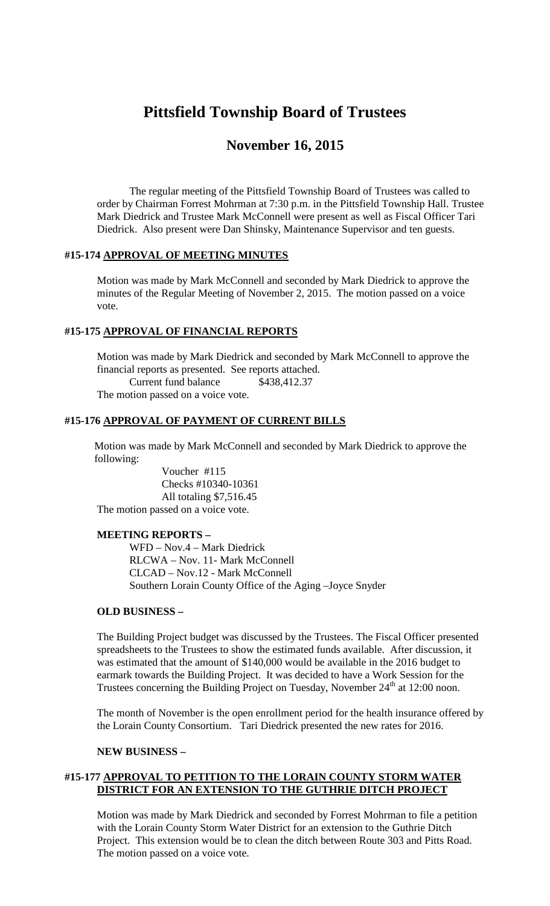# **Pittsfield Township Board of Trustees**

# **November 16, 2015**

The regular meeting of the Pittsfield Township Board of Trustees was called to order by Chairman Forrest Mohrman at 7:30 p.m. in the Pittsfield Township Hall. Trustee Mark Diedrick and Trustee Mark McConnell were present as well as Fiscal Officer Tari Diedrick. Also present were Dan Shinsky, Maintenance Supervisor and ten guests.

# **#15-174 APPROVAL OF MEETING MINUTES**

Motion was made by Mark McConnell and seconded by Mark Diedrick to approve the minutes of the Regular Meeting of November 2, 2015. The motion passed on a voice vote.

# **#15-175 APPROVAL OF FINANCIAL REPORTS**

Motion was made by Mark Diedrick and seconded by Mark McConnell to approve the financial reports as presented. See reports attached. Current fund balance \$438,412.37 The motion passed on a voice vote.

# **#15-176 APPROVAL OF PAYMENT OF CURRENT BILLS**

Motion was made by Mark McConnell and seconded by Mark Diedrick to approve the following:

Voucher #115 Checks #10340-10361 All totaling \$7,516.45 The motion passed on a voice vote.

#### **MEETING REPORTS –**

WFD – Nov.4 – Mark Diedrick RLCWA – Nov. 11- Mark McConnell CLCAD – Nov.12 - Mark McConnell Southern Lorain County Office of the Aging –Joyce Snyder

#### **OLD BUSINESS –**

The Building Project budget was discussed by the Trustees. The Fiscal Officer presented spreadsheets to the Trustees to show the estimated funds available. After discussion, it was estimated that the amount of \$140,000 would be available in the 2016 budget to earmark towards the Building Project. It was decided to have a Work Session for the Trustees concerning the Building Project on Tuesday, November 24<sup>th</sup> at 12:00 noon.

The month of November is the open enrollment period for the health insurance offered by the Lorain County Consortium. Tari Diedrick presented the new rates for 2016.

#### **NEW BUSINESS –**

# **#15-177 APPROVAL TO PETITION TO THE LORAIN COUNTY STORM WATER DISTRICT FOR AN EXTENSION TO THE GUTHRIE DITCH PROJECT**

Motion was made by Mark Diedrick and seconded by Forrest Mohrman to file a petition with the Lorain County Storm Water District for an extension to the Guthrie Ditch Project. This extension would be to clean the ditch between Route 303 and Pitts Road. The motion passed on a voice vote.